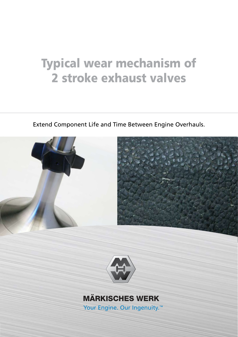# 2 stroke exhaust valves Typical wear mechanism of

Extend Component Life and Time Between Engine Overhauls.





## **MÄRKISCHES WERK**

Your Engine. Our Ingenuity.<sup>™</sup>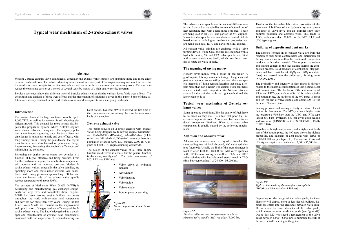### **Typical wear mechanism of 2-stroke exhaust valves**

#### **Abstract**

Modern 2-stroke exhaust valve components, especially the exhaust valve spindle, are operating more and more under extreme load conditions. The whole exhaust system is a cost intensive part of the engine and requires much service. So, the need is obvious to optimize service intervals as well as to perform the correct and necessary work. The aim is to reduce the operating costs over a period of several years by means of a high quality service program.

Service experiences show that different types of 2-stroke exhaust valves display various, identifiable wear effects. The description and analysis of these wear effects and the presentation of solutions is given in this paper. Some of these solutions are already practiced in the market while some new developments are undergoing field-tests.

#### **Introduction**

The market demand for large container vessels, up to 8,500 TEU, as well as for tankers, is still showing significant growth. This demand for more vessels also impacts the propulsion system, where 2-stroke engines with exhaust valves are being used. The engine population is continuously growing since the basic diesel engine design is known as reliable and cost effective with long running times. During the past decade, the engine manufactures have also focused on permanent design improvements, increasing the engine's efficiency and minimizing the pollution.

Increasing the engine power output per cylinder is a function of higher effective and firing pressure. From the thermodynamic aspect, the combustion temperature will increase with the increased pressure. Modern 2 stroke exhaust valves, especially the valve spindles, are operating more and more under extreme load conditions. With firing pressures approaching 150 bar and more, the bottom side of the exhaust valve spindle reaches temperatures of about 650°C.

The business of Märkisches Werk GmbH (MWH) is developing and manufacturing gas exchange components for large two- and four-stroke diesel engines. MWH has been serving engine builders and users throughout the world with cylinder head components and services for more than fifty years. During the last fifteen years MWH has focused on the improvement and optimization of the gas load and efficiency of the 2 stroke exhaust valve. The knowledge gained as a developer and manufacturer of cylinder head components, combined with the experience of remanufacturing exhaust valves, has lead MWH to extend the life time of the components and to prolong the time between overhauls of the engine.

#### **2-stroke exhaust valve**

This paper focuses on 2-stroke engines with exhaust valves being designed by following engine manufacturers: MAN-B&W (MC-series), Wärtsilä-Sulzer (RTAseries) and Mitsubishi (UEC-series). Actually there is a population of about 8,000 MC engines, 2,000 RTA engines and 500 UEC engines running worldwide.

The design of the exhaust valves of all three engine builders are different in details, but the general function is the same, see figure-01. The main components of MC, RTA and UEC are:

> • Valve drive or hydraulic actuator Air cylinder • Valve housing Valve guide Valve spindle Bottom piece or seat ring *Figure 01: Main components of an exhaust valve*



The exhaust valve spindle can be made of different materials. Standard valve spindles are manufactured out of heat resistance steel with a hard faced seat area. These are being used in all UEC- and part of the MC engines. Nimonic valve spindles are manufactured out of nickelbased material with higher mechanical properties and are being used in all RTA- and part of the MC-engines.

All exhaust valve spindles are equipped with a valve turning device. While UEC engines are equipped with a hydraulic device, MC and RTA valve spindles are fitted with a vane wheel (wing bush), which uses the exhaust gas to rotate the valve spindle.

#### **The meaning of saving money**

Nobody saves money with a cheap or bad repair. A good repair, lets say remanufacturing, changes an old part to a new one. As we will prove later, there are special methods of doing remanufacturing that make a repair more than just a repair. For example you can make a valve spindle with properties like Nimonic from a standard valve spindle, with the right method and the knowledge to do so.

#### **Typical wear mechanism of 2-stroke exhaust valves**

Some operating conditions, like the quality of fuel, have to be taken as they are. It's a fact that poor fuel increases components wear. Also, cheap fuel leads to reduced component lifetimes. Wear to exhaust valve components is usually caused by the following mechanism:

#### **Adhesion and abrasive wear**

Adhesion and abrasive wear is very often found in the stem sealing area of hard chromed, MC valve spindles (see figure 02). Usually the limit of this stem diameter is reached after 12,000 - 18,000 hrs. MC valve spindles with HVOF-stem coating, as well as RTA- and UEC valve spindles with hard-chromed stems, reach a TBO (time between overhaul) of 24,000 - 36,000 hrs.



*Figure 02: Physical adhesion and abrasive wear of a hardchromed valve spindle (MC-type after 15,000 hrs)*

Thanks to the favorable lubrication properties of the permanent luboilflow of the hydraulic system, piston and liner of valve drive and air cylinder show only minimal adhesion and abrasive wear. This leads to TBOs with more than 72,000 hrs for MC, RTA and UEC type engines.

#### **Build up of deposits and dent marks**

The deposits formed on an exhaust valve are from the reaction of fuel-borne contaminants and lubrication oil during combustion as well as the reaction of combustion products with valve material. The sulphur, vanadium and sodium content in the fuel oxidize during the combustion process. Solid products of combustion, slag particles and hard particles of  $A<sub>1</sub>O<sub>3</sub>$  and  $SiO<sub>2</sub>$  (catalytic fines) are pressed into the valve seat, forming dents (NANDA 2003).

The probability and intensity of dent marks is directly related to the material combination of valve spindle seat and bottom piece. The hardness of the seat material of RTA- and UEC-type is about 400 HV for valve spindle and bottom piece, the hardness of the MC-types is about 400 HV for seat of valve spindle and about 500 HV for the seat of bottom piece.

Seating pressure and sealing velocity are also relevant factors for dent marks. The MC-type has a higher seating pressure (>700 bar) than the UEC- and RTA-type (about 550 bar). Typically, 550 bar gives good sealing and low wear. (KINGSTON-JONES, THOMAS, RAD-CLIFF 1990)

Together with high seat pressure and a higher seat hardness of the bottom piece, the MC-type shows the highest probability and intensity of dent marks with TBOs of 6,000-18,000 hrs (see figure 03). The seats of RTA- and UEC-types require overhauls after 12,000 - 36,000 hrs.



*Figure 03: Typical dent marks of the seat of a valve spindle (MC60-type Nimonic after 8,300 hrs)*

Depending on the design of the valve guide, its inner diameter will display more or less deposit buildup. Exhaust gas enters into the clearance between valve spindle stem and the inner diameter of the valve guide, which allows deposits inside the guide (see figure 04). Due to this, MC-types need a replacement of the valve guide between 6,000 - 8,000 hrs to minimize the risk of the valve spindle sticking in the guide.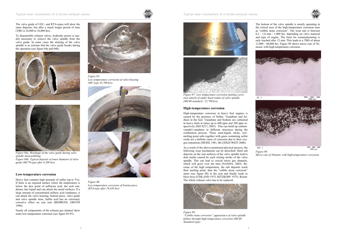

The valve guide of UEC- and RTA-types will show the same deposits, but after a much longer period of time (TBO is 24,000 to 36,000 hrs).

To disassemble exhaust valves, hydraulic power is usually necessary to remove the valve spindle from the valve guide. In some cases the sticking of the valve spindle is so extreme that the valve guide breaks during the operation (see figure 04a and 04b).





*Figure 04a: Breakage of the valve guide during valve spindle disassembling Figure 04b: Typical deposits of inner diameter of valve guide (MC70-type after 8,200 hrs)*

#### **Low-temperature corrosion**

Heavy fuel contains high amounts of sulfur (up to 5%). If there is an exposed surface where the temperature is below the dew point of sulfurous acid, the acid condenses into liquid and can attack the metal surfaces. If a large amount of concentrated sulfuric acid condenses, it can attack the valve housing, bottom piece, valve guide and valve spindle stem. Sulfur acid has an extremely corrosive effect on cast iron (BEHRENS, GROTH 1990).

Nearly all components of the exhaust gas channel show some low-temperature corrosion (see figure 05-07).



*Figure 05: Low temperature corrosion of valve housing (MC-type 43,700 hrs)*



*Figure 06: Low temperature corrosion of bottom piece (RTA-type after 28,420 hrs)*









*Figure 07: Low temperature corrosion (pitting corrosion attack) of under head radius of valve spindle (MC60-standard / 22,700 hrs)*

#### **High-temperature corrosion**



200 um *Figure 09: Micro cuts of Nimonic with high-temperature corrosion.*

High-temperature corrosion in heavy fuel engines is caused by the presence of Sulfur, Vanadium and Sodium in the fuel. Vanadium and Sodium are contained in heavy fuels at ratios up to 600 ppm and 200 ppm respectively (ISO 8217, 2003). This can build up sodiumvanadyl-vanadates in different structures during the combustion process. These semi-liquid, sticky, lowmelting point salts together with gases containing sulfur oxide are a definite cause of corrosion due to their oxygen transitions (HESSE 1981, BLUDSZUWEIT 2000).

As a result of the above-mentioned physical process, the following wear mechanism can be described. Hard salt deposits on the seat surfaces of the valve spindle lead to dent marks caused by each closing stroke of the valve spindle. This can lead to crucial micro gas channels, which will grow over the time (NANDA, 2003). Because of the high temperature, the salt deposits reach their melting point, then the "cobble stone corrosion" starts (see figure 08) at the seat and finally leads to blow-byes (UMLAND 1975, RITZKOPF 1975). Result: The whole exhaust valve has to be replaced.



*Figure 08: "Cobble stone corrosion" appearance of valve spindle failure through high-temperature corrosion (MC60 Standard-type)*

The bottom of the valve spindle is mostly operating in the critical area of the high-temperature corrosion seen as "cobble stone corrosion". The wear rate is between 0,2 - 1,0 mm / 1,000 hrs. depending on valve material and type of engine. The limit for remanufacturing is only reached after 12 mm. This leads to a TBO of about 12,000 - 60,000 hrs. Figure 09 shows micro cuts of Nimonic with high-temperature corrosion.

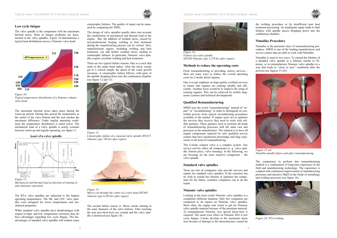

#### **Low cycle fatigue**

The valve spindle is the component with the maximum thermal stress. Most of fatigue problems are documented at the valve spindles. Figure 10 demonstrates a typical heat distribution across a Nimonic valve head.



*Figure 10: Typical temperature distribution of a Nimonic exhaust valve head*

The maximum thermal stress takes place during the warm-up period. During this period the temperature at the center of the valve bottom and the seat reaches the maximum difference. Under regular operating conditions the temperature distribution is much lower. The mechanical load of a valve spindle is nearly constant between warm-up and regular operating, see figure 11.

Load of a valve spindle



*Mechanical and thermal load as function of running in and stationary operation*

The RTA valve spindles are subjected to the highest operating temperatures. The MC and UEC valve spindles were designed for lower temperatures and mechanical properties.

While standard valve spindles have disadvantages with respect to high- and low- temperature corrosion, they do have advantages regarding low cycle fatigue. The disadvantages of standard valve spindles will seldom cause

catastrophic failures. The quality of repair can be measured by comparing the TBOs.

The design of valve spindles usually takes into account the combination of mechanical and thermal load of the engine. But, the addition of residual stress, caused by non-professional forging, welding or heat treatment during the manufacturing process can be critical. Also, unprofessional repairs, including welding and heat treatment, can add further residual stress, leading to catastrophic failures. In particular, Nimonic valve spindles require excellent welding and heat treatment.

There are two typical failure reasons. One is a crack that starts in the under head radius. After the micro cracks get to a critical length, the speed of the crack growth increases. A catastrophic failure follows, with parts of the spindle dropping down into the combustion chamber (see figure 12 and 13).



*Figure 12:*

*Catastrophic failure of a repaired valve spindle (RTA72 Nimonic-type 740 hrs after repair)*



*Figure 13: Macro cut through the center of a valve head (RTA62 Nimonic-type 6,430 hrs after repair)*

The second failure reason is: Micro cracks starting in the outer diameter of the valve bottom. After reaching the seat area blow-byes are created and the valve spindle is destroyed (see figure 14).







*Figure 14: Failure of a valve spindle (RTA84 Nimonic type 5,270 hrs after repair).*

#### **Methods to reduce the operating costs**

From remanufacturing to providing correct services there are some ways to reduce the overall operating costs for 2-stroke diesel engines.

One is to put emphasis on high quality overhaul services to ensure that engines are running reliably and efficiently. Another focus would be to improve the setup of running engines. This can be achieved by mobile diagnostic systems and technical developments.

#### **Qualified Remanufacturing**

MWH uses the word "remanufacturing" instead of "repair" or "reconditioning" in order to distinguish its controlled process from typical reconditioning procedures available in the market. If engine users are to optimize the services they receive, they need to work with reliable partners. These partners need to perform all kinds of remanufacturing processes with the same care and precision as the manufacturer. The solution is to have all engine components repaired by only qualified service centers that have production knowledge and long experience in all areas of remanufacturing.

The 2-stroke exhaust valve is a complex system. Any service activity affect all components (e. g. valve spindle, bottom piece, valve housing). In the following, we are focusing on the most sensitive component – the valve spindle.

#### **Standard valve spindles**

There are lots of companies who provide services and repairs for standard valve spindles. If the customer has no wish to extend the lifetime or optimize the component for the future, countless companies can to do the repair.

#### **Nimonic valve spindles**

Looking at the more costly Nimonic valve spindles is a completely different situation. Only few companies are competent to do repairs on Nimonic valve spindles. Most often, the engine user wants to get his Nimonic valve spindle repaired because of the premium material. To remanufacture Nimonic very special know-how is required. The usual wear effect on Nimonic 80A is low cycle fatigue. Cracks develop in the maximum stress area because of damage to the microstructure caused by the welding procedure or by insufficient post heat treatment processing. An inadequate repair leads to fatal failures with spindle pieces dropping down into the combustion chamber.

#### **Nimalike-Procedure**

Nimalike is the premium class of remanufacturing procedures. MWH is one of the leading manufacturers and service centers that are able to work with Nimalike.

Nimalike is used in two ways: To extend the lifetime of a standard valve spindle to a lifetime similar to Nimonic, or to remanufacture Nimonic valve spindles in a way that leads to "close to new" conditions after the process (see figures 15 a/b).



*Figure 15 a/b: Nimalike spindle before and after remanufacturing*

The competence to perform this remanufacturing method is a combination of long-time experience in the field and manufacturing technology. The experience is coupled with continuous improvement of manufacturing processes and intensive R&D in the fields of metallurgy and welding processes (see figure 16).



*Figure 16: PTA-welding*